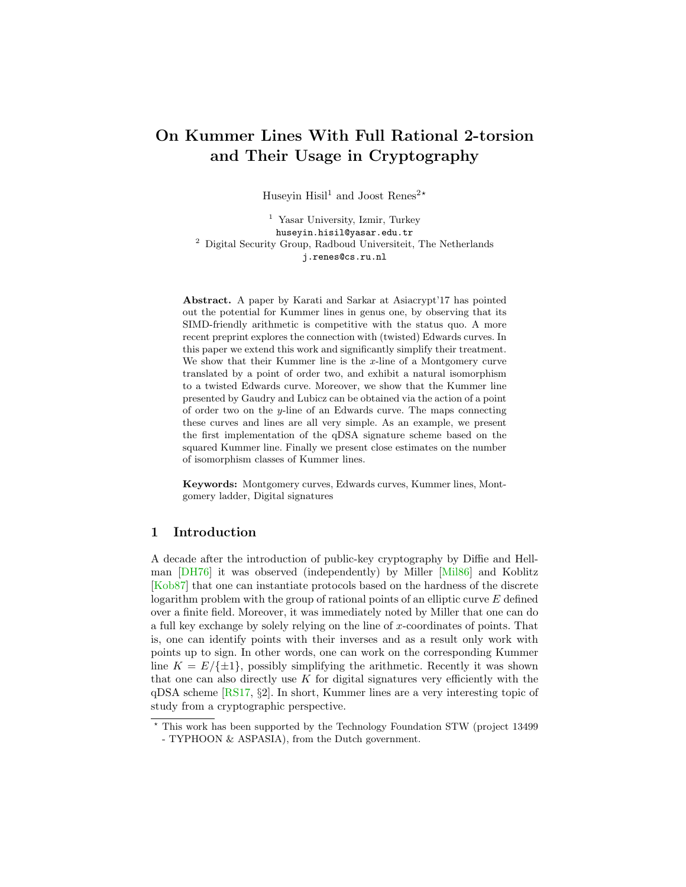# <span id="page-0-0"></span>On Kummer Lines With Full Rational 2-torsion and Their Usage in Cryptography

Huseyin Hisil<sup>1</sup> and Joost Renes<sup>2\*</sup>

<sup>1</sup> Yasar University, Izmir, Turkey huseyin.hisil@yasar.edu.tr <sup>2</sup> Digital Security Group, Radboud Universiteit, The Netherlands j.renes@cs.ru.nl

Abstract. A paper by Karati and Sarkar at Asiacrypt'17 has pointed out the potential for Kummer lines in genus one, by observing that its SIMD-friendly arithmetic is competitive with the status quo. A more recent preprint explores the connection with (twisted) Edwards curves. In this paper we extend this work and significantly simplify their treatment. We show that their Kummer line is the x-line of a Montgomery curve translated by a point of order two, and exhibit a natural isomorphism to a twisted Edwards curve. Moreover, we show that the Kummer line presented by Gaudry and Lubicz can be obtained via the action of a point of order two on the y-line of an Edwards curve. The maps connecting these curves and lines are all very simple. As an example, we present the first implementation of the qDSA signature scheme based on the squared Kummer line. Finally we present close estimates on the number of isomorphism classes of Kummer lines.

Keywords: Montgomery curves, Edwards curves, Kummer lines, Montgomery ladder, Digital signatures

# 1 Introduction

A decade after the introduction of public-key cryptography by Diffie and Hellman [\[DH76\]](#page-15-0) it was observed (independently) by Miller [\[Mil86\]](#page-16-0) and Koblitz [\[Kob87\]](#page-16-1) that one can instantiate protocols based on the hardness of the discrete logarithm problem with the group of rational points of an elliptic curve E defined over a finite field. Moreover, it was immediately noted by Miller that one can do a full key exchange by solely relying on the line of  $x$ -coordinates of points. That is, one can identify points with their inverses and as a result only work with points up to sign. In other words, one can work on the corresponding Kummer line  $K = E/\{\pm 1\}$ , possibly simplifying the arithmetic. Recently it was shown that one can also directly use  $K$  for digital signatures very efficiently with the qDSA scheme [\[RS17,](#page-17-0) §2]. In short, Kummer lines are a very interesting topic of study from a cryptographic perspective.

<sup>?</sup> This work has been supported by the Technology Foundation STW (project 13499 - TYPHOON & ASPASIA), from the Dutch government.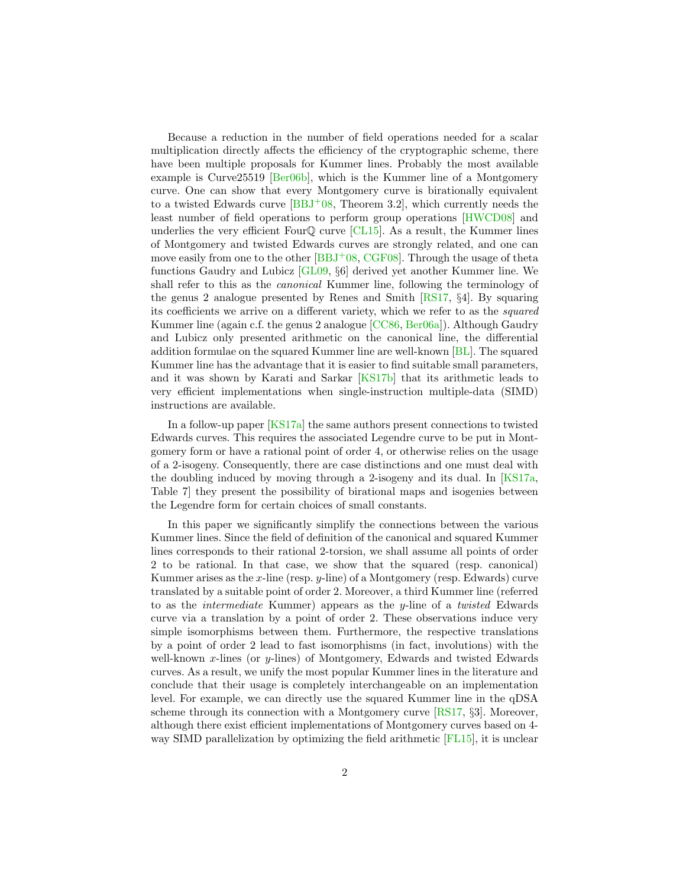<span id="page-1-0"></span>Because a reduction in the number of field operations needed for a scalar multiplication directly affects the efficiency of the cryptographic scheme, there have been multiple proposals for Kummer lines. Probably the most available example is Curve25519 [\[Ber06b\]](#page-15-1), which is the Kummer line of a Montgomery curve. One can show that every Montgomery curve is birationally equivalent to a twisted Edwards curve  $[BBJ<sup>+</sup>08$  $[BBJ<sup>+</sup>08$ , Theorem 3.2, which currently needs the least number of field operations to perform group operations [\[HWCD08\]](#page-16-2) and underlies the very efficient Four $\mathbb Q$  curve [\[CL15\]](#page-15-3). As a result, the Kummer lines of Montgomery and twisted Edwards curves are strongly related, and one can move easily from one to the other  $[BBJ<sup>+</sup>08, CGF08]$  $[BBJ<sup>+</sup>08, CGF08]$  $[BBJ<sup>+</sup>08, CGF08]$ . Through the usage of theta functions Gaudry and Lubicz [\[GL09,](#page-16-3) §6] derived yet another Kummer line. We shall refer to this as the canonical Kummer line, following the terminology of the genus 2 analogue presented by Renes and Smith [\[RS17,](#page-17-0) §4]. By squaring its coefficients we arrive on a different variety, which we refer to as the squared Kummer line (again c.f. the genus 2 analogue [\[CC86,](#page-15-5) [Ber06a\]](#page-15-6)). Although Gaudry and Lubicz only presented arithmetic on the canonical line, the differential addition formulae on the squared Kummer line are well-known [\[BL\]](#page-15-7). The squared Kummer line has the advantage that it is easier to find suitable small parameters, and it was shown by Karati and Sarkar [\[KS17b\]](#page-16-4) that its arithmetic leads to very efficient implementations when single-instruction multiple-data (SIMD) instructions are available.

In a follow-up paper [\[KS17a\]](#page-16-5) the same authors present connections to twisted Edwards curves. This requires the associated Legendre curve to be put in Montgomery form or have a rational point of order 4, or otherwise relies on the usage of a 2-isogeny. Consequently, there are case distinctions and one must deal with the doubling induced by moving through a 2-isogeny and its dual. In  $[KS17a,$ Table 7] they present the possibility of birational maps and isogenies between the Legendre form for certain choices of small constants.

In this paper we significantly simplify the connections between the various Kummer lines. Since the field of definition of the canonical and squared Kummer lines corresponds to their rational 2-torsion, we shall assume all points of order 2 to be rational. In that case, we show that the squared (resp. canonical) Kummer arises as the  $x$ -line (resp.  $y$ -line) of a Montgomery (resp. Edwards) curve translated by a suitable point of order 2. Moreover, a third Kummer line (referred to as the intermediate Kummer) appears as the y-line of a twisted Edwards curve via a translation by a point of order 2. These observations induce very simple isomorphisms between them. Furthermore, the respective translations by a point of order 2 lead to fast isomorphisms (in fact, involutions) with the well-known x-lines (or y-lines) of Montgomery, Edwards and twisted Edwards curves. As a result, we unify the most popular Kummer lines in the literature and conclude that their usage is completely interchangeable on an implementation level. For example, we can directly use the squared Kummer line in the qDSA scheme through its connection with a Montgomery curve [\[RS17,](#page-17-0) §3]. Moreover, although there exist efficient implementations of Montgomery curves based on 4 way SIMD parallelization by optimizing the field arithmetic [\[FL15\]](#page-16-6), it is unclear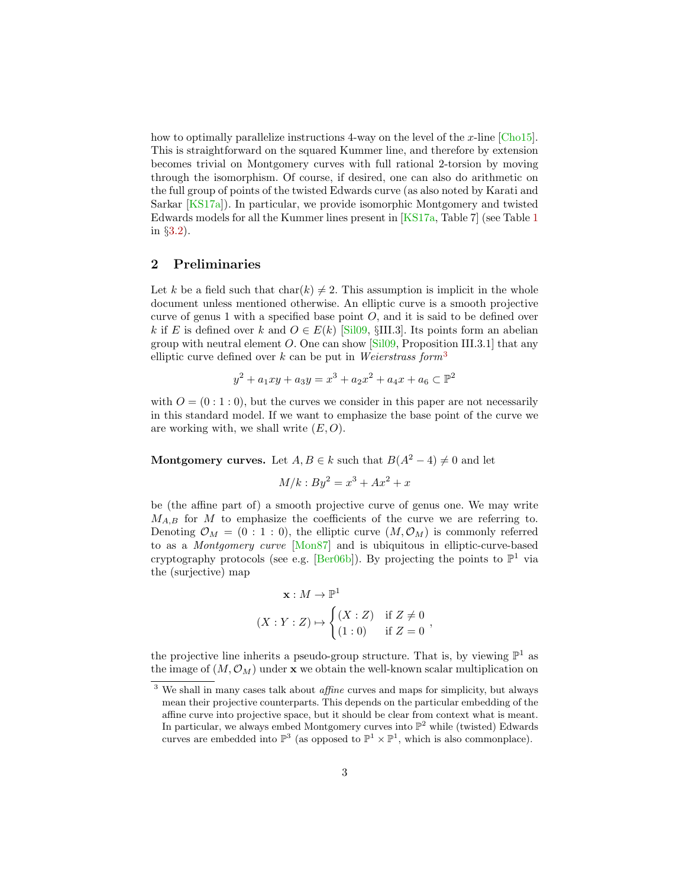<span id="page-2-2"></span>how to optimally parallelize instructions 4-way on the level of the x-line  $|Cho15|$ . This is straightforward on the squared Kummer line, and therefore by extension becomes trivial on Montgomery curves with full rational 2-torsion by moving through the isomorphism. Of course, if desired, one can also do arithmetic on the full group of points of the twisted Edwards curve (as also noted by Karati and Sarkar [\[KS17a\]](#page-16-5)). In particular, we provide isomorphic Montgomery and twisted Edwards models for all the Kummer lines present in [\[KS17a,](#page-16-5) Table 7] (see Table [1](#page-10-0) in §[3.2\)](#page-8-0).

# <span id="page-2-1"></span>2 Preliminaries

Let k be a field such that  $char(k) \neq 2$ . This assumption is implicit in the whole document unless mentioned otherwise. An elliptic curve is a smooth projective curve of genus 1 with a specified base point  $O$ , and it is said to be defined over k if E is defined over k and  $O \in E(k)$  [\[Sil09,](#page-17-1) §III.3]. Its points form an abelian group with neutral element  $O$ . One can show  $[Sil09,$  Proposition III.3.1] that any elliptic curve defined over k can be put in Weierstrass form<sup>[3](#page-2-0)</sup>

$$
y^2 + a_1xy + a_3y = x^3 + a_2x^2 + a_4x + a_6 \subset \mathbb{P}^2
$$

with  $O = (0:1:0)$ , but the curves we consider in this paper are not necessarily in this standard model. If we want to emphasize the base point of the curve we are working with, we shall write  $(E, O)$ .

**Montgomery curves.** Let  $A, B \in k$  such that  $B(A^2 - 4) \neq 0$  and let

$$
M/k : By^2 = x^3 + Ax^2 + x
$$

be (the affine part of) a smooth projective curve of genus one. We may write  $M_{A,B}$  for M to emphasize the coefficients of the curve we are referring to. Denoting  $\mathcal{O}_M = (0:1:0)$ , the elliptic curve  $(M, \mathcal{O}_M)$  is commonly referred to as a Montgomery curve [\[Mon87\]](#page-16-7) and is ubiquitous in elliptic-curve-based cryptography protocols (see e.g. [\[Ber06b\]](#page-15-1)). By projecting the points to  $\mathbb{P}^1$  via the (surjective) map

$$
\mathbf{x}: M \to \mathbb{P}^1
$$
  

$$
(X:Y:Z) \mapsto \begin{cases} (X:Z) & \text{if } Z \neq 0 \\ (1:0) & \text{if } Z = 0 \end{cases}
$$

the projective line inherits a pseudo-group structure. That is, by viewing  $\mathbb{P}^1$  as the image of  $(M, \mathcal{O}_M)$  under **x** we obtain the well-known scalar multiplication on

<span id="page-2-0"></span><sup>&</sup>lt;sup>3</sup> We shall in many cases talk about *affine* curves and maps for simplicity, but always mean their projective counterparts. This depends on the particular embedding of the affine curve into projective space, but it should be clear from context what is meant. In particular, we always embed Montgomery curves into  $\mathbb{P}^2$  while (twisted) Edwards curves are embedded into  $\mathbb{P}^3$  (as opposed to  $\mathbb{P}^1 \times \mathbb{P}^1$ , which is also commonplace).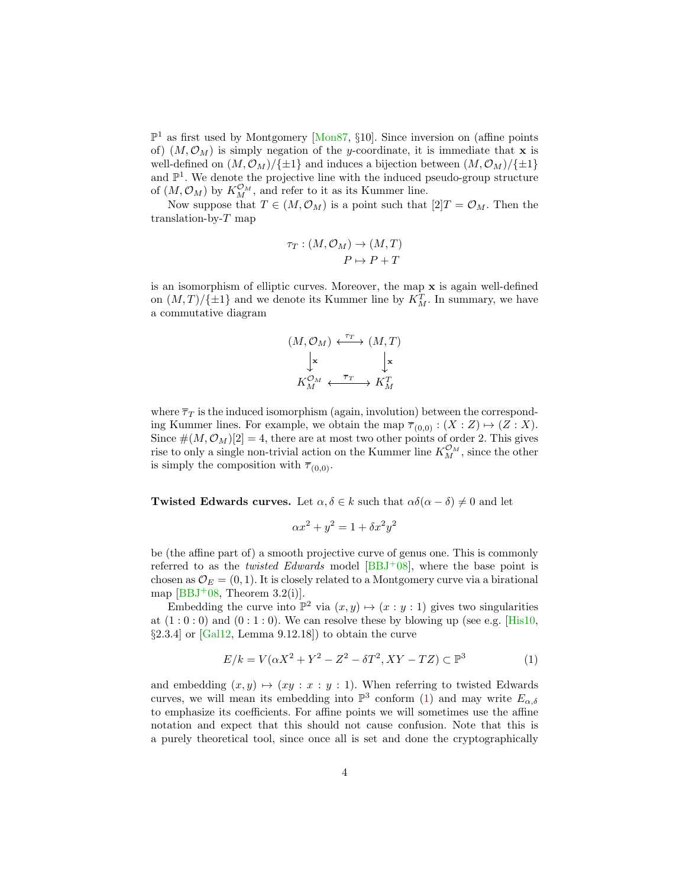<span id="page-3-1"></span> $\mathbb{P}^1$  as first used by Montgomery [\[Mon87,](#page-16-7) §10]. Since inversion on (affine points of)  $(M, \mathcal{O}_M)$  is simply negation of the y-coordinate, it is immediate that **x** is well-defined on  $(M, \mathcal{O}_M)/\{\pm 1\}$  and induces a bijection between  $(M, \mathcal{O}_M)/\{\pm 1\}$ and  $\mathbb{P}^1$ . We denote the projective line with the induced pseudo-group structure of  $(M, \mathcal{O}_M)$  by  $K_M^{\mathcal{O}_M}$ , and refer to it as its Kummer line.

Now suppose that  $T \in (M, \mathcal{O}_M)$  is a point such that  $[2]T = \mathcal{O}_M$ . Then the translation-by-T map

$$
\tau_T : (M, \mathcal{O}_M) \to (M, T)
$$

$$
P \mapsto P + T
$$

is an isomorphism of elliptic curves. Moreover, the map x is again well-defined on  $(M, T)/\{\pm 1\}$  and we denote its Kummer line by  $K_M^T$ . In summary, we have a commutative diagram

$$
(M, \mathcal{O}_M) \stackrel{\tau_T}{\longleftarrow} (M, T)
$$
  

$$
\downarrow \mathbf{x}
$$
  

$$
K_M^{\mathcal{O}_M} \stackrel{\overline{\tau}_T}{\longleftarrow} K_M^T
$$

where  $\overline{\tau}_T$  is the induced isomorphism (again, involution) between the corresponding Kummer lines. For example, we obtain the map  $\overline{\tau}_{(0,0)} : (X : Z) \mapsto (Z : X)$ . Since  $\#(M, \mathcal{O}_M)[2] = 4$ , there are at most two other points of order 2. This gives rise to only a single non-trivial action on the Kummer line  $K_M^{\mathcal{O}_M}$ , since the other is simply the composition with  $\overline{\tau}_{(0,0)}$ .

Twisted Edwards curves. Let  $\alpha, \delta \in k$  such that  $\alpha\delta(\alpha - \delta) \neq 0$  and let

$$
\alpha x^2 + y^2 = 1 + \delta x^2 y^2
$$

be (the affine part of) a smooth projective curve of genus one. This is commonly referred to as the *twisted Edwards* model  $[BBJ^+08]$  $[BBJ^+08]$ , where the base point is chosen as  $\mathcal{O}_E = (0, 1)$ . It is closely related to a Montgomery curve via a birational map  $[BBJ<sup>+</sup>08$  $[BBJ<sup>+</sup>08$ , Theorem 3.2(i).

Embedding the curve into  $\mathbb{P}^2$  via  $(x, y) \mapsto (x : y : 1)$  gives two singularities at  $(1:0:0)$  and  $(0:1:0)$ . We can resolve these by blowing up (see e.g. [\[His10,](#page-16-8)  $\S 2.3.4$  or [\[Gal12,](#page-16-9) Lemma 9.12.18]) to obtain the curve

<span id="page-3-0"></span>
$$
E/k = V(\alpha X^2 + Y^2 - Z^2 - \delta T^2, XY - TZ) \subset \mathbb{P}^3
$$
 (1)

and embedding  $(x, y) \mapsto (xy : x : y : 1)$ . When referring to twisted Edwards curves, we will mean its embedding into  $\mathbb{P}^3$  conform [\(1\)](#page-3-0) and may write  $E_{\alpha,\delta}$ to emphasize its coefficients. For affine points we will sometimes use the affine notation and expect that this should not cause confusion. Note that this is a purely theoretical tool, since once all is set and done the cryptographically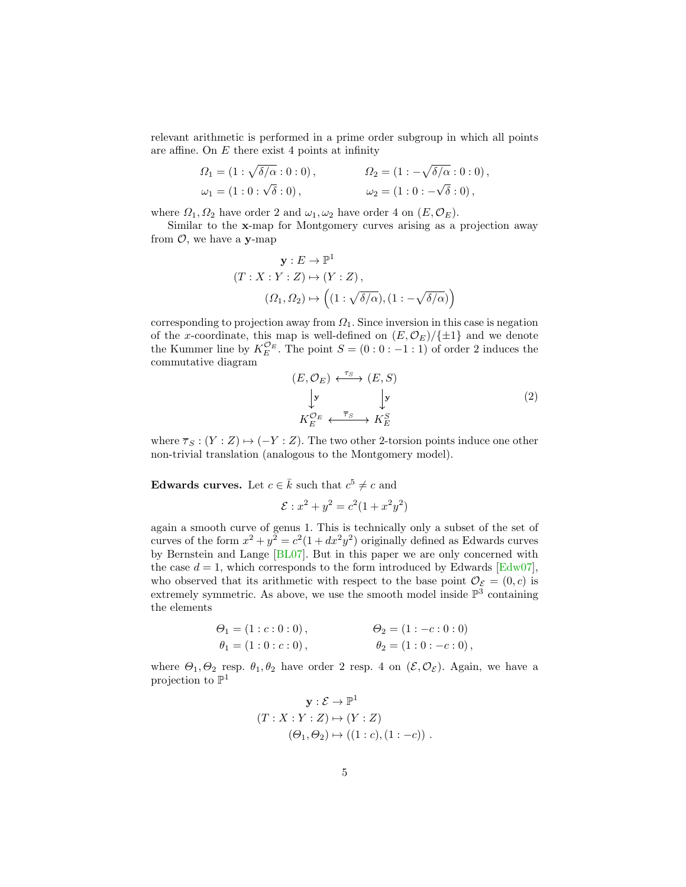<span id="page-4-1"></span>relevant arithmetic is performed in a prime order subgroup in which all points are affine. On  $E$  there exist 4 points at infinity

$$
\Omega_1 = (1 : \sqrt{\delta/\alpha} : 0 : 0), \qquad \Omega_2 = (1 : -\sqrt{\delta/\alpha} : 0 : 0), \n\omega_1 = (1 : 0 : \sqrt{\delta} : 0), \qquad \omega_2 = (1 : 0 : -\sqrt{\delta} : 0),
$$

where  $\Omega_1, \Omega_2$  have order 2 and  $\omega_1, \omega_2$  have order 4 on  $(E, \mathcal{O}_E)$ .

Similar to the x-map for Montgomery curves arising as a projection away from  $\mathcal{O}$ , we have a y-map

$$
\mathbf{y}: E \to \mathbb{P}^1
$$
  
( $T: X: Y: Z$ )  $\mapsto$  ( $Y: Z$ ),  
 $(\Omega_1, \Omega_2) \mapsto \left( (1: \sqrt{\delta/\alpha}), (1: -\sqrt{\delta/\alpha}) \right)$ 

corresponding to projection away from  $\Omega_1$ . Since inversion in this case is negation of the x-coordinate, this map is well-defined on  $(E, \mathcal{O}_E)/\{\pm 1\}$  and we denote the Kummer line by  $K_E^{\mathcal{O}_E}$ . The point  $S = (0:0:-1:1)$  of order 2 induces the commutative diagram

<span id="page-4-0"></span>
$$
(E, \mathcal{O}_E) \xleftarrow{\tau_S} (E, S)
$$
  
\n
$$
\downarrow \mathbf{y}
$$
  
\n
$$
K_E^{\mathcal{O}_E} \xleftarrow{\overline{\tau}_S} K_E^S
$$
  
\n(2)

where  $\overline{\tau}_S : (Y : Z) \mapsto (-Y : Z)$ . The two other 2-torsion points induce one other non-trivial translation (analogous to the Montgomery model).

Edwards curves. Let  $c \in \overline{k}$  such that  $c^5 \neq c$  and

$$
\mathcal{E}: x^2 + y^2 = c^2(1 + x^2y^2)
$$

again a smooth curve of genus 1. This is technically only a subset of the set of curves of the form  $x^2 + y^2 = c^2(1 + dx^2y^2)$  originally defined as Edwards curves by Bernstein and Lange [\[BL07\]](#page-15-9). But in this paper we are only concerned with the case  $d = 1$ , which corresponds to the form introduced by Edwards [\[Edw07\]](#page-16-10), who observed that its arithmetic with respect to the base point  $\mathcal{O}_{\mathcal{E}} = (0, c)$  is extremely symmetric. As above, we use the smooth model inside  $\mathbb{P}^3$  containing the elements

$$
\Theta_1 = (1 : c : 0 : 0), \n\theta_1 = (1 : 0 : c : 0), \n\theta_2 = (1 : -c : 0 : 0), \n\theta_3 = (1 : 0 : -c : 0),
$$

where  $\Theta_1, \Theta_2$  resp.  $\theta_1, \theta_2$  have order 2 resp. 4 on  $(\mathcal{E}, \mathcal{O}_{\mathcal{E}})$ . Again, we have a projection to  $\mathbb{P}^1$ 

$$
\mathbf{y}: \mathcal{E} \to \mathbb{P}^1
$$
  
( $T: X: Y: Z$ )  $\mapsto$  ( $Y: Z$ )  
( $\Theta_1, \Theta_2$ )  $\mapsto$  ((1 : c), (1 : -c)) .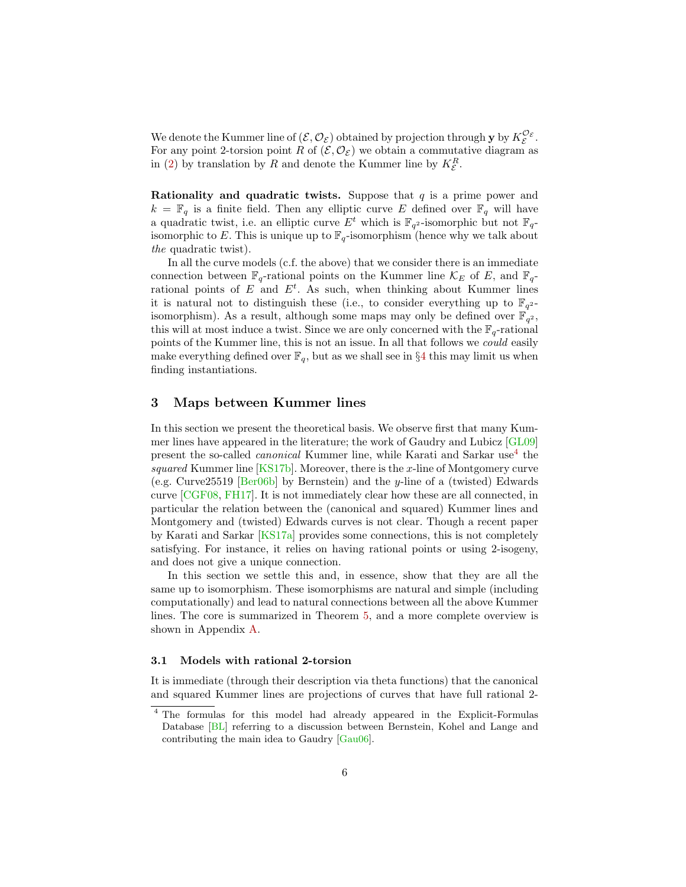<span id="page-5-1"></span>We denote the Kummer line of  $(\mathcal{E}, \mathcal{O}_{\mathcal{E}})$  obtained by projection through **y** by  $K_{\mathcal{E}}^{\mathcal{O}_{\mathcal{E}}}$ . For any point 2-torsion point R of  $(\mathcal{E}, \mathcal{O}_{\mathcal{E}})$  we obtain a commutative diagram as in [\(2\)](#page-4-0) by translation by  $R$  and denote the Kummer line by  $K_{\mathcal{E}}^R$ .

Rationality and quadratic twists. Suppose that  $q$  is a prime power and  $k = \mathbb{F}_q$  is a finite field. Then any elliptic curve E defined over  $\mathbb{F}_q$  will have a quadratic twist, i.e. an elliptic curve  $E^t$  which is  $\mathbb{F}_{q^2}$ -isomorphic but not  $\mathbb{F}_q$ isomorphic to E. This is unique up to  $\mathbb{F}_q$ -isomorphism (hence why we talk about the quadratic twist).

In all the curve models (c.f. the above) that we consider there is an immediate connection between  $\mathbb{F}_q$ -rational points on the Kummer line  $\mathcal{K}_E$  of E, and  $\mathbb{F}_q$ rational points of  $E$  and  $E<sup>t</sup>$ . As such, when thinking about Kummer lines it is natural not to distinguish these (i.e., to consider everything up to  $\mathbb{F}_{q^2}$ isomorphism). As a result, although some maps may only be defined over  $\mathbb{F}_{q^2}$ , this will at most induce a twist. Since we are only concerned with the  $\mathbb{F}_q$ -rational points of the Kummer line, this is not an issue. In all that follows we could easily make everything defined over  $\mathbb{F}_q$ , but as we shall see in §[4](#page-12-0) this may limit us when finding instantiations.

## 3 Maps between Kummer lines

In this section we present the theoretical basis. We observe first that many Kummer lines have appeared in the literature; the work of Gaudry and Lubicz [\[GL09\]](#page-16-3) present the so-called *canonical* Kummer line, while Karati and Sarkar use<sup>[4](#page-5-0)</sup> the squared Kummer line  $[KS17b]$ . Moreover, there is the x-line of Montgomery curve (e.g. Curve25519 [\[Ber06b\]](#page-15-1) by Bernstein) and the y-line of a (twisted) Edwards curve [\[CGF08,](#page-15-4) [FH17\]](#page-16-11). It is not immediately clear how these are all connected, in particular the relation between the (canonical and squared) Kummer lines and Montgomery and (twisted) Edwards curves is not clear. Though a recent paper by Karati and Sarkar [\[KS17a\]](#page-16-5) provides some connections, this is not completely satisfying. For instance, it relies on having rational points or using 2-isogeny, and does not give a unique connection.

In this section we settle this and, in essence, show that they are all the same up to isomorphism. These isomorphisms are natural and simple (including computationally) and lead to natural connections between all the above Kummer lines. The core is summarized in Theorem [5,](#page-9-0) and a more complete overview is shown in Appendix [A.](#page-18-0)

#### 3.1 Models with rational 2-torsion

It is immediate (through their description via theta functions) that the canonical and squared Kummer lines are projections of curves that have full rational 2-

<span id="page-5-0"></span><sup>4</sup> The formulas for this model had already appeared in the Explicit-Formulas Database [\[BL\]](#page-15-7) referring to a discussion between Bernstein, Kohel and Lange and contributing the main idea to Gaudry [\[Gau06\]](#page-16-12).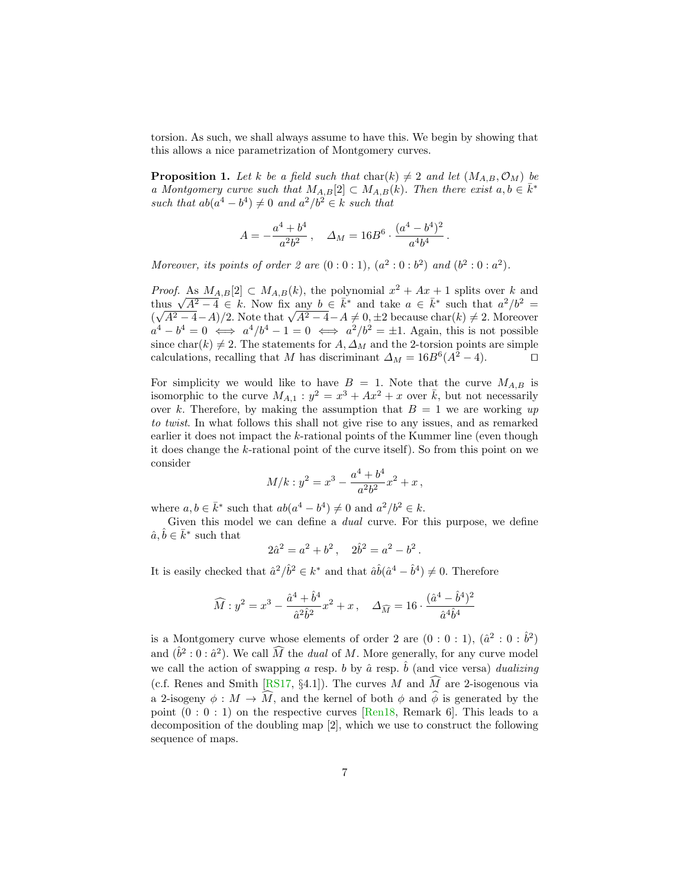<span id="page-6-1"></span>torsion. As such, we shall always assume to have this. We begin by showing that this allows a nice parametrization of Montgomery curves.

<span id="page-6-0"></span>**Proposition 1.** Let k be a field such that  $char(k) \neq 2$  and let  $(M_{A,B}, \mathcal{O}_M)$  be a Montgomery curve such that  $M_{A,B}[2] \subset M_{A,B}(k)$ . Then there exist  $a, b \in \overline{k}^*$ such that  $ab(a^4 - b^4) \neq 0$  and  $a^2/b^2 \in k$  such that

$$
A=-\frac{a^4+b^4}{a^2b^2}\,,\quad \Delta_M=16B^6\cdot\frac{(a^4-b^4)^2}{a^4b^4}\,.
$$

Moreover, its points of order 2 are  $(0:0:1)$ ,  $(a^2:0:b^2)$  and  $(b^2:0:a^2)$ .

*Proof.* As  $M_{A,B}[2] \subset M_{A,B}(k)$ , the polynomial  $x^2 + Ax + 1$  splits over k and *Troof.* As  $M_{A,B}[2] \subset M_{A,B}(k)$ , the polynomial  $x^2 + Ax + 1$  splits over k and thus  $\sqrt{A^2 - 4} \in k$ . Now fix any  $b \in \overline{k}^*$  and take  $a \in \overline{k}^*$  such that  $a^2/b^2 =$ ( hus  $\sqrt{A^2-4} = 4 \in \kappa$ . Now fix any  $b \in \kappa^+$  and take  $a \in \kappa^+$  such that  $a^2/b^2 = \sqrt{A^2-4}-A/2$ . Note that  $\sqrt{A^2-4}-A \neq 0, \pm 2$  because char(k)  $\neq 2$ . Moreover  $a^4 - b^4 = 0 \iff a^4/b^4 - 1 = 0 \iff a^2/b^2 = \pm 1$ . Again, this is not possible since char(k)  $\neq$  2. The statements for A,  $\Delta_M$  and the 2-torsion points are simple calculations, recalling that M has discriminant  $\Delta_M = 16B^6(A^2 - 4)$ .

For simplicity we would like to have  $B = 1$ . Note that the curve  $M_{A,B}$  is isomorphic to the curve  $M_{A,1}$ :  $y^2 = x^3 + Ax^2 + x$  over  $\overline{k}$ , but not necessarily over k. Therefore, by making the assumption that  $B = 1$  we are working up to twist. In what follows this shall not give rise to any issues, and as remarked earlier it does not impact the k-rational points of the Kummer line (even though it does change the k-rational point of the curve itself). So from this point on we consider

$$
M/k: y^2 = x^3 - \frac{a^4 + b^4}{a^2b^2}x^2 + x,
$$

where  $a, b \in \bar{k}^*$  such that  $ab(a^4 - b^4) \neq 0$  and  $a^2/b^2 \in k$ .

Given this model we can define a dual curve. For this purpose, we define  $\hat{a}, \hat{b} \in \bar{k}^*$  such that

$$
2\hat{a}^2 = a^2 + b^2 \,,\quad 2\hat{b}^2 = a^2 - b^2
$$

.

It is easily checked that  $\hat{a}^2/\hat{b}^2 \in k^*$  and that  $\hat{a}\hat{b}(\hat{a}^4 - \hat{b}^4) \neq 0$ . Therefore

$$
\widehat{M} : y^2 = x^3 - \frac{\hat{a}^4 + \hat{b}^4}{\hat{a}^2 \hat{b}^2} x^2 + x \,, \quad \Delta_{\widehat{M}} = 16 \cdot \frac{(\hat{a}^4 - \hat{b}^4)^2}{\hat{a}^4 \hat{b}^4}
$$

is a Montgomery curve whose elements of order 2 are  $(0:0:1)$ ,  $(\hat{a}^2:0:\hat{b}^2)$ and  $(\hat{b}^2:0:\hat{a}^2)$ . We call  $\widehat{M}$  the *dual* of M. More generally, for any curve model we call the action of swapping a resp. b by  $\hat{a}$  resp.  $\hat{b}$  (and vice versa) dualizing (c.f. Renes and Smith [\[RS17,](#page-17-0) §4.1]). The curves M and  $\widehat{M}$  are 2-isogenous via a 2-isogeny  $\phi : M \to \widehat{M}$ , and the kernel of both  $\phi$  and  $\widehat{\phi}$  is generated by the point  $(0:0:1)$  on the respective curves [\[Ren18,](#page-17-2) Remark 6]. This leads to a decomposition of the doubling map [2], which we use to construct the following sequence of maps.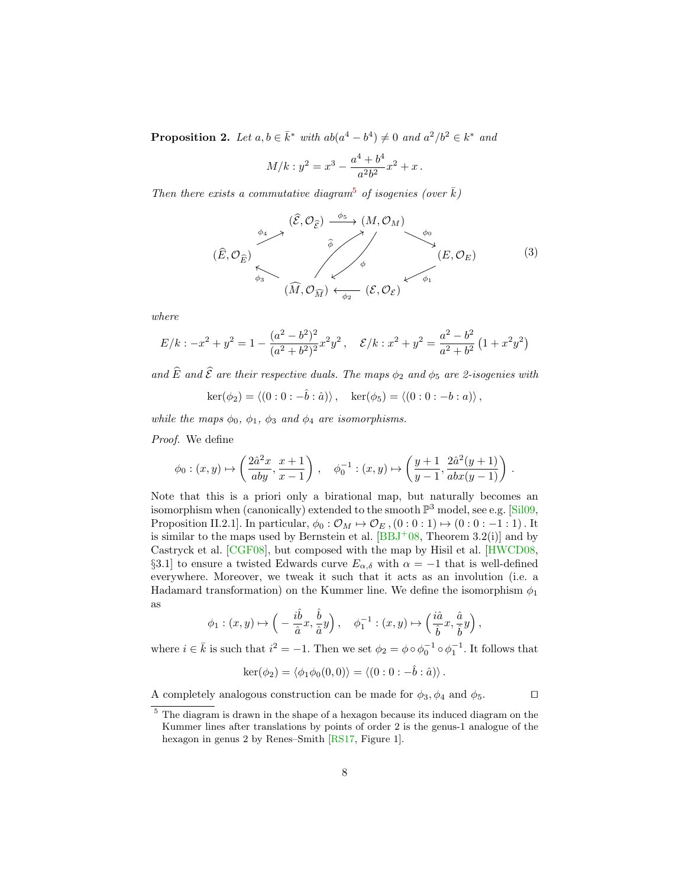<span id="page-7-2"></span>**Proposition 2.** Let  $a, b \in \overline{k}^*$  with  $ab(a^4 - b^4) \neq 0$  and  $a^2/b^2 \in k^*$  and

$$
M/k: y^2 = x^3 - \frac{a^4 + b^4}{a^2b^2}x^2 + x.
$$

Then there exists a commutative diagram<sup>[5](#page-7-0)</sup> of isogenies (over  $\bar{k}$ )

<span id="page-7-1"></span>
$$
(\widehat{E}, \mathcal{O}_{\widehat{E}}) \xrightarrow{\phi_4} (\widehat{\mathcal{E}}, \mathcal{O}_{\widehat{\mathcal{E}}}) \xrightarrow{\widehat{\phi}_5} (M, \mathcal{O}_M) \xrightarrow{\phi_0} (E, \mathcal{O}_E) \xrightarrow{\phi_1} (E, \mathcal{O}_E) \tag{3}
$$

where

$$
E/k: -x^2 + y^2 = 1 - \frac{(a^2 - b^2)^2}{(a^2 + b^2)^2} x^2 y^2, \quad \mathcal{E}/k: x^2 + y^2 = \frac{a^2 - b^2}{a^2 + b^2} (1 + x^2 y^2)
$$

and  $\widehat{E}$  and  $\widehat{\mathcal{E}}$  are their respective duals. The maps  $\phi_2$  and  $\phi_5$  are 2-isogenies with

$$
\ker(\phi_2) = \langle (0:0:-\hat{b}:\hat{a}) \rangle, \quad \ker(\phi_5) = \langle (0:0:-b:a) \rangle,
$$

while the maps  $\phi_0$ ,  $\phi_1$ ,  $\phi_3$  and  $\phi_4$  are isomorphisms.

Proof. We define

$$
\phi_0:(x,y)\mapsto \left(\frac{2\hat a^2x}{aby},\frac{x+1}{x-1}\right)\,,\quad \phi_0^{-1}:(x,y)\mapsto \left(\frac{y+1}{y-1},\frac{2\hat a^2(y+1)}{abx(y-1)}\right)\,.
$$

Note that this is a priori only a birational map, but naturally becomes an isomorphism when (canonically) extended to the smooth  $\mathbb{P}^3$  model, see e.g. [\[Sil09,](#page-17-1) Proposition II.2.1]. In particular,  $\phi_0 : \mathcal{O}_M \mapsto \mathcal{O}_E$ ,  $(0 : 0 : 1) \mapsto (0 : 0 : -1 : 1)$ . It is similar to the maps used by Bernstein et al.  $[BBJ<sup>+</sup>08, Theorem 3.2(i)]$  $[BBJ<sup>+</sup>08, Theorem 3.2(i)]$  and by Castryck et al. [\[CGF08\]](#page-15-4), but composed with the map by Hisil et al. [\[HWCD08,](#page-16-2) §3.1] to ensure a twisted Edwards curve  $E_{\alpha,\delta}$  with  $\alpha = -1$  that is well-defined everywhere. Moreover, we tweak it such that it acts as an involution (i.e. a Hadamard transformation) on the Kummer line. We define the isomorphism  $\phi_1$ as

$$
\phi_1:(x,y)\mapsto \Big(-\frac{i\hat{b}}{\hat{a}}x,\frac{\hat{b}}{\hat{a}}y\Big)\,,\quad \phi_1^{-1}:(x,y)\mapsto \Big(\frac{i\hat{a}}{\hat{b}}x,\frac{\hat{a}}{\hat{b}}y\Big)\,,
$$

where  $i \in \bar{k}$  is such that  $i^2 = -1$ . Then we set  $\phi_2 = \phi \circ \phi_0^{-1} \circ \phi_1^{-1}$ . It follows that

$$
\ker(\phi_2) = \langle \phi_1 \phi_0(0,0) \rangle = \langle (0:0:-\hat{b}:\hat{a}) \rangle.
$$

A completely analogous construction can be made for  $\phi_3$ ,  $\phi_4$  and  $\phi_5$ .

<span id="page-7-0"></span><sup>5</sup> The diagram is drawn in the shape of a hexagon because its induced diagram on the Kummer lines after translations by points of order 2 is the genus-1 analogue of the hexagon in genus 2 by Renes–Smith [\[RS17,](#page-17-0) Figure 1].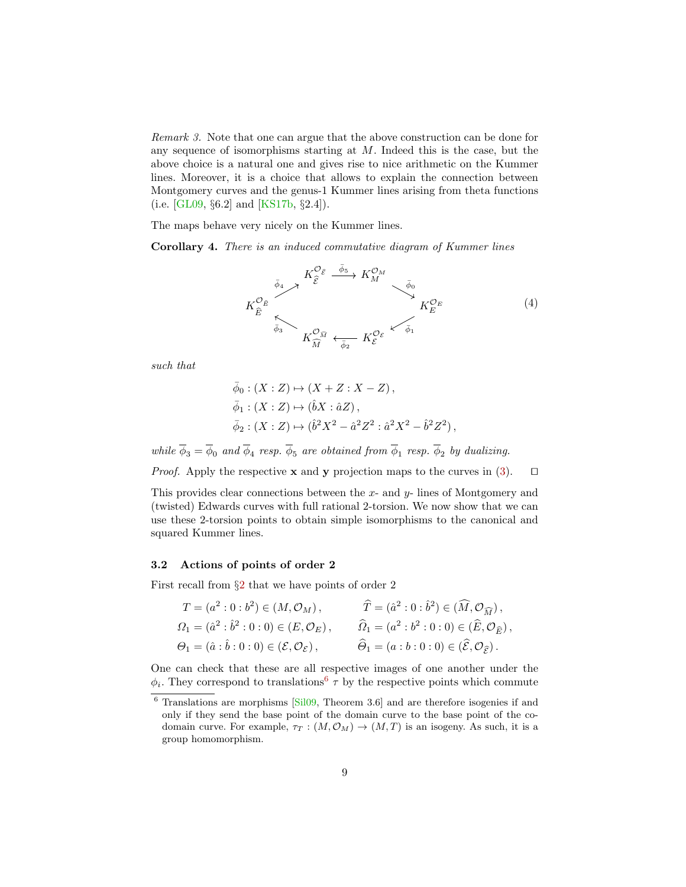<span id="page-8-3"></span>Remark 3. Note that one can argue that the above construction can be done for any sequence of isomorphisms starting at  $M$ . Indeed this is the case, but the above choice is a natural one and gives rise to nice arithmetic on the Kummer lines. Moreover, it is a choice that allows to explain the connection between Montgomery curves and the genus-1 Kummer lines arising from theta functions (i.e. [\[GL09,](#page-16-3) §6.2] and [\[KS17b,](#page-16-4) §2.4]).

The maps behave very nicely on the Kummer lines.

Corollary 4. There is an induced commutative diagram of Kummer lines

<span id="page-8-2"></span>

such that

$$
\begin{aligned}\n\bar{\phi}_0 : (X : Z) &\mapsto (X + Z : X - Z) \,, \\
\bar{\phi}_1 : (X : Z) &\mapsto (\hat{b}X : \hat{a}Z) \,, \\
\bar{\phi}_2 : (X : Z) &\mapsto (\hat{b}^2 X^2 - \hat{a}^2 Z^2 : \hat{a}^2 X^2 - \hat{b}^2 Z^2) \,,\n\end{aligned}
$$

while  $\phi_3 = \phi_0$  and  $\phi_4$  resp.  $\phi_5$  are obtained from  $\phi_1$  resp.  $\phi_2$  by dualizing.

*Proof.* Apply the respective **x** and **y** projection maps to the curves in [\(3\)](#page-7-1).  $\Box$ 

This provides clear connections between the  $x$ - and  $y$ - lines of Montgomery and (twisted) Edwards curves with full rational 2-torsion. We now show that we can use these 2-torsion points to obtain simple isomorphisms to the canonical and squared Kummer lines.

#### <span id="page-8-0"></span>3.2 Actions of points of order 2

First recall from §[2](#page-2-1) that we have points of order 2

$$
T = (a^2 : 0 : b^2) \in (M, \mathcal{O}_M), \qquad \hat{T} = (\hat{a}^2 : 0 : \hat{b}^2) \in (\widehat{M}, \mathcal{O}_{\widehat{M}}),
$$
  
\n
$$
\Omega_1 = (\hat{a}^2 : \hat{b}^2 : 0 : 0) \in (E, \mathcal{O}_E), \qquad \widehat{\Omega}_1 = (a^2 : b^2 : 0 : 0) \in (\widehat{E}, \mathcal{O}_{\widehat{E}}),
$$
  
\n
$$
\Theta_1 = (\hat{a} : \hat{b} : 0 : 0) \in (\mathcal{E}, \mathcal{O}_{\mathcal{E}}), \qquad \widehat{\Theta}_1 = (a : b : 0 : 0) \in (\widehat{\mathcal{E}}, \mathcal{O}_{\widehat{\mathcal{E}}}).
$$

One can check that these are all respective images of one another under the  $\phi_i$ . They correspond to translations<sup>[6](#page-8-1)</sup>  $\tau$  by the respective points which commute

<span id="page-8-1"></span> $6$  Translations are morphisms  $[Si109,$  Theorem 3.6 and are therefore isogenies if and only if they send the base point of the domain curve to the base point of the codomain curve. For example,  $\tau_T : (M, \mathcal{O}_M) \to (M, T)$  is an isogeny. As such, it is a group homomorphism.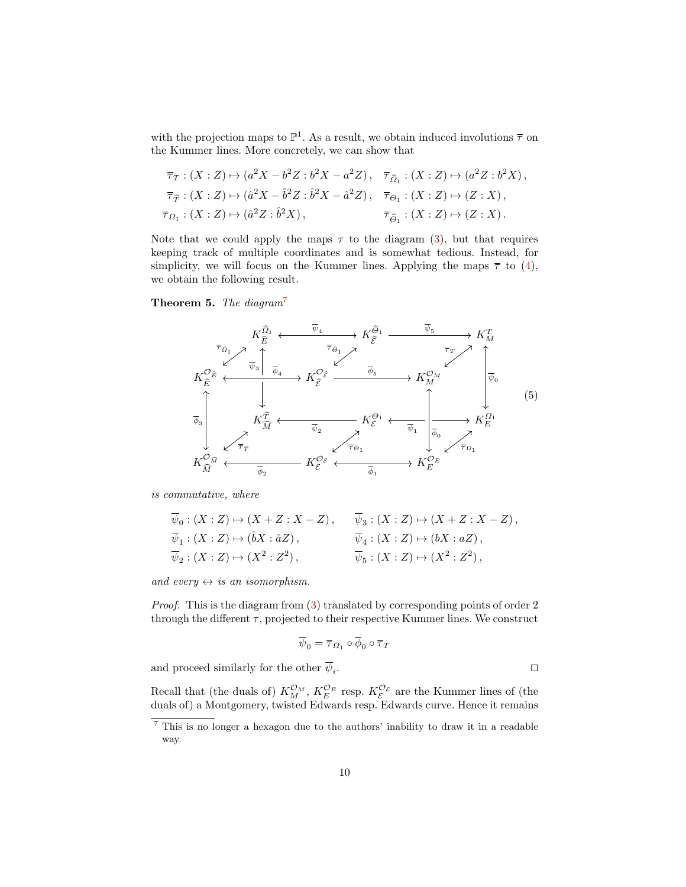with the projection maps to  $\mathbb{P}^1$ . As a result, we obtain induced involutions  $\bar{\tau}$  on the Kummer lines. More concretely, we can show that

$$
\overline{\tau}_T : (X : Z) \mapsto (a^2 X - b^2 Z : b^2 X - a^2 Z), \quad \overline{\tau}_{\widehat{\Omega}_1} : (X : Z) \mapsto (a^2 Z : b^2 X), \n\overline{\tau}_{\widehat{T}} : (X : Z) \mapsto (\widehat{a}^2 X - \widehat{b}^2 Z : \widehat{b}^2 X - \widehat{a}^2 Z), \quad \overline{\tau}_{\Theta_1} : (X : Z) \mapsto (Z : X), \n\overline{\tau}_{\Omega_1} : (X : Z) \mapsto (\widehat{a}^2 Z : \widehat{b}^2 X), \qquad \overline{\tau}_{\widehat{\Theta}_1} : (X : Z) \mapsto (Z : X).
$$

Note that we could apply the maps  $\tau$  to the diagram [\(3\)](#page-7-1), but that requires keeping track of multiple coordinates and is somewhat tedious. Instead, for simplicity, we will focus on the Kummer lines. Applying the maps  $\bar{\tau}$  to [\(4\)](#page-8-2), we obtain the following result.

<span id="page-9-0"></span>**Theorem 5.** The diagram<sup>[7](#page-9-1)</sup>



is commutative, where

$$
\overline{\psi}_0 : (X : Z) \mapsto (X + Z : X - Z), \qquad \overline{\psi}_3 : (X : Z) \mapsto (X + Z : X - Z),
$$
  
\n
$$
\overline{\psi}_1 : (X : Z) \mapsto (\hat{b}X : \hat{a}Z), \qquad \overline{\psi}_4 : (X : Z) \mapsto (bX : aZ),
$$
  
\n
$$
\overline{\psi}_2 : (X : Z) \mapsto (X^2 : Z^2), \qquad \overline{\psi}_5 : (X : Z) \mapsto (X^2 : Z^2),
$$

and every  $\leftrightarrow$  is an isomorphism.

Proof. This is the diagram from [\(3\)](#page-7-1) translated by corresponding points of order 2 through the different  $\tau$ , projected to their respective Kummer lines. We construct

$$
\overline{\psi}_0 = \overline{\tau}_{\varOmega_1} \circ \overline{\phi}_0 \circ \overline{\tau}_T
$$

and proceed similarly for the other  $\overline{\psi}_i$ . . The contract of the contract of the contract of the contract of the contract of the contract of the contract of the contract of the contract of the contract of the contract of the contract of the contract of the contract

Recall that (the duals of)  $K_M^{\mathcal{O}_M}$ ,  $K_E^{\mathcal{O}_E}$  resp.  $K_{\mathcal{E}}^{\mathcal{O}_{\mathcal{E}}}$  are the Kummer lines of (the duals of) a Montgomery, twisted Edwards resp. Edwards curve. Hence it remains

<span id="page-9-1"></span><sup>7</sup> This is no longer a hexagon due to the authors' inability to draw it in a readable way.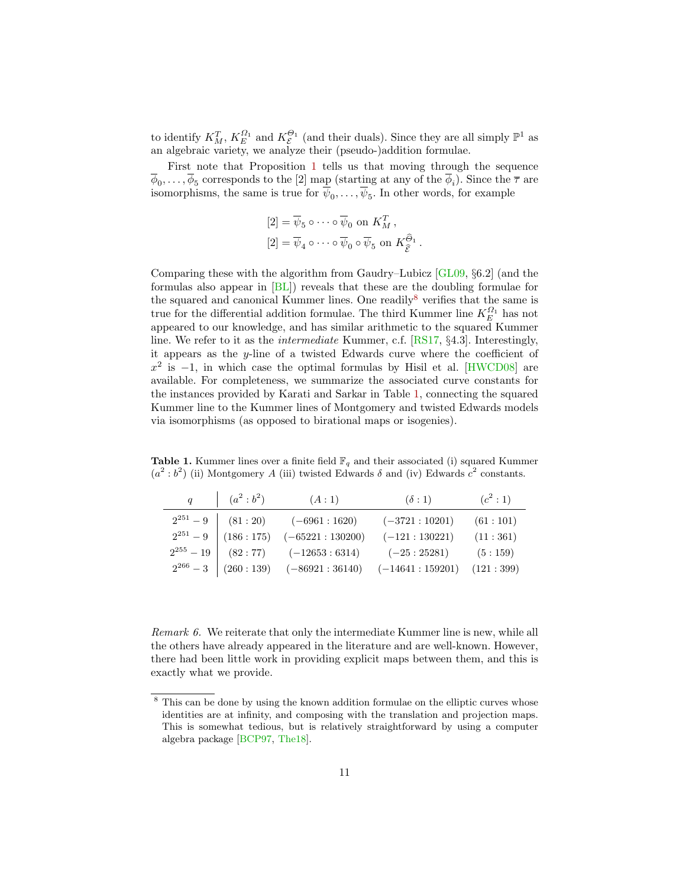<span id="page-10-2"></span>to identify  $K_M^T$ ,  $K_E^{\Omega_1}$  and  $K_{\mathcal{E}}^{\Theta_1}$  (and their duals). Since they are all simply  $\mathbb{P}^1$  as an algebraic variety, we analyze their (pseudo-)addition formulae.

First note that Proposition [1](#page-6-0) tells us that moving through the sequence  $\phi_0, \ldots, \phi_5$  corresponds to the [2] map (starting at any of the  $\phi_i$ ). Since the  $\overline{\tau}$  are isomorphisms, the same is true for  $\psi_0, \ldots, \psi_5$ . In other words, for example

$$
[2] = \overline{\psi}_5 \circ \cdots \circ \overline{\psi}_0 \text{ on } K_M^T,
$$
  

$$
[2] = \overline{\psi}_4 \circ \cdots \circ \overline{\psi}_0 \circ \overline{\psi}_5 \text{ on } K_{\widehat{\mathcal{E}}}^{\widehat{\Theta}_1}.
$$

Comparing these with the algorithm from Gaudry–Lubicz [\[GL09,](#page-16-3) §6.2] (and the formulas also appear in [\[BL\]](#page-15-7)) reveals that these are the doubling formulae for the squared and canonical Kummer lines. One readily<sup>[8](#page-10-1)</sup> verifies that the same is true for the differential addition formulae. The third Kummer line  $K_E^{\Omega_1}$  has not appeared to our knowledge, and has similar arithmetic to the squared Kummer line. We refer to it as the intermediate Kummer, c.f. [\[RS17,](#page-17-0) §4.3]. Interestingly, it appears as the y-line of a twisted Edwards curve where the coefficient of  $x^2$  is  $-1$ , in which case the optimal formulas by Hisil et al. [\[HWCD08\]](#page-16-2) are available. For completeness, we summarize the associated curve constants for the instances provided by Karati and Sarkar in Table [1,](#page-10-0) connecting the squared Kummer line to the Kummer lines of Montgomery and twisted Edwards models via isomorphisms (as opposed to birational maps or isogenies).

<span id="page-10-0"></span>**Table 1.** Kummer lines over a finite field  $\mathbb{F}_q$  and their associated (i) squared Kummer  $(a^2 : b^2)$  (ii) Montgomery A (iii) twisted Edwards  $\delta$  and (iv) Edwards  $c^2$  constants.

| $q \qquad \vert \quad (a^2 : b^2)$ | (A:1)                                             | $(\delta:1)$                  | $(c^2:1)$ |
|------------------------------------|---------------------------------------------------|-------------------------------|-----------|
|                                    | $2^{251} - 9$ (81 : 20) (-6961 : 1620)            | $(-3721:10201)$               | (61:101)  |
|                                    | $2^{251} - 9$ (186 : 175) (-65221 : 130200)       | $(-121:130221)$               | (11:361)  |
|                                    | $2^{255} - 19$ (82 : 77) (-12653 : 6314)          | $(-25:25281)$ $(5:159)$       |           |
|                                    | $2^{266} - 3 \mid (260:139) \quad (-86921:36140)$ | $(-14641:159201)$ $(121:399)$ |           |

Remark 6. We reiterate that only the intermediate Kummer line is new, while all the others have already appeared in the literature and are well-known. However, there had been little work in providing explicit maps between them, and this is exactly what we provide.

<span id="page-10-1"></span><sup>&</sup>lt;sup>8</sup> This can be done by using the known addition formulae on the elliptic curves whose identities are at infinity, and composing with the translation and projection maps. This is somewhat tedious, but is relatively straightforward by using a computer algebra package [\[BCP97,](#page-15-10) [The18\]](#page-17-3).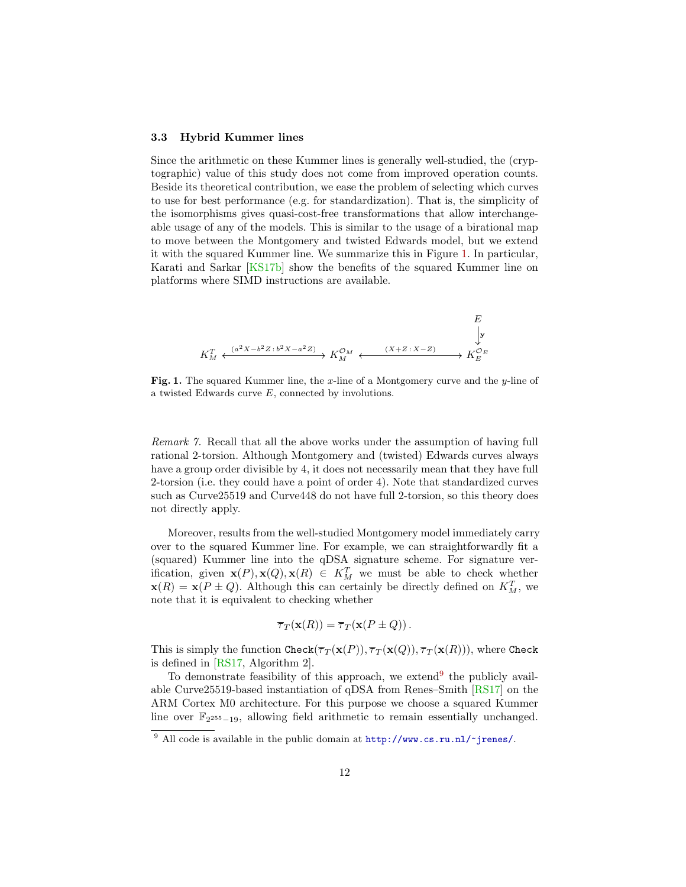#### <span id="page-11-2"></span>3.3 Hybrid Kummer lines

Since the arithmetic on these Kummer lines is generally well-studied, the (cryptographic) value of this study does not come from improved operation counts. Beside its theoretical contribution, we ease the problem of selecting which curves to use for best performance (e.g. for standardization). That is, the simplicity of the isomorphisms gives quasi-cost-free transformations that allow interchangeable usage of any of the models. This is similar to the usage of a birational map to move between the Montgomery and twisted Edwards model, but we extend it with the squared Kummer line. We summarize this in Figure [1.](#page-11-0) In particular, Karati and Sarkar [\[KS17b\]](#page-16-4) show the benefits of the squared Kummer line on platforms where SIMD instructions are available.



<span id="page-11-0"></span>**Fig. 1.** The squared Kummer line, the x-line of a Montgomery curve and the  $y$ -line of a twisted Edwards curve E, connected by involutions.

Remark 7. Recall that all the above works under the assumption of having full rational 2-torsion. Although Montgomery and (twisted) Edwards curves always have a group order divisible by 4, it does not necessarily mean that they have full 2-torsion (i.e. they could have a point of order 4). Note that standardized curves such as Curve25519 and Curve448 do not have full 2-torsion, so this theory does not directly apply.

Moreover, results from the well-studied Montgomery model immediately carry over to the squared Kummer line. For example, we can straightforwardly fit a (squared) Kummer line into the qDSA signature scheme. For signature verification, given  $\mathbf{x}(P), \mathbf{x}(Q), \mathbf{x}(R) \in K_M^T$  we must be able to check whether  $\mathbf{x}(R) = \mathbf{x}(P \pm Q)$ . Although this can certainly be directly defined on  $K_M^T$ , we note that it is equivalent to checking whether

$$
\overline{\tau}_T(\mathbf{x}(R)) = \overline{\tau}_T(\mathbf{x}(P \pm Q)).
$$

This is simply the function Check( $\overline{\tau}_T(\mathbf{x}(P)), \overline{\tau}_T(\mathbf{x}(Q)), \overline{\tau}_T(\mathbf{x}(R)))$ , where Check is defined in [\[RS17,](#page-17-0) Algorithm 2].

To demonstrate feasibility of this approach, we extend<sup>[9](#page-11-1)</sup> the publicly available Curve25519-based instantiation of qDSA from Renes–Smith [\[RS17\]](#page-17-0) on the ARM Cortex M0 architecture. For this purpose we choose a squared Kummer line over  $\mathbb{F}_{2^{255}-19}$ , allowing field arithmetic to remain essentially unchanged.

<span id="page-11-1"></span><sup>&</sup>lt;sup>9</sup> All code is available in the public domain at  $http://www.cs.ru.nl/~jrenes/.$  $http://www.cs.ru.nl/~jrenes/.$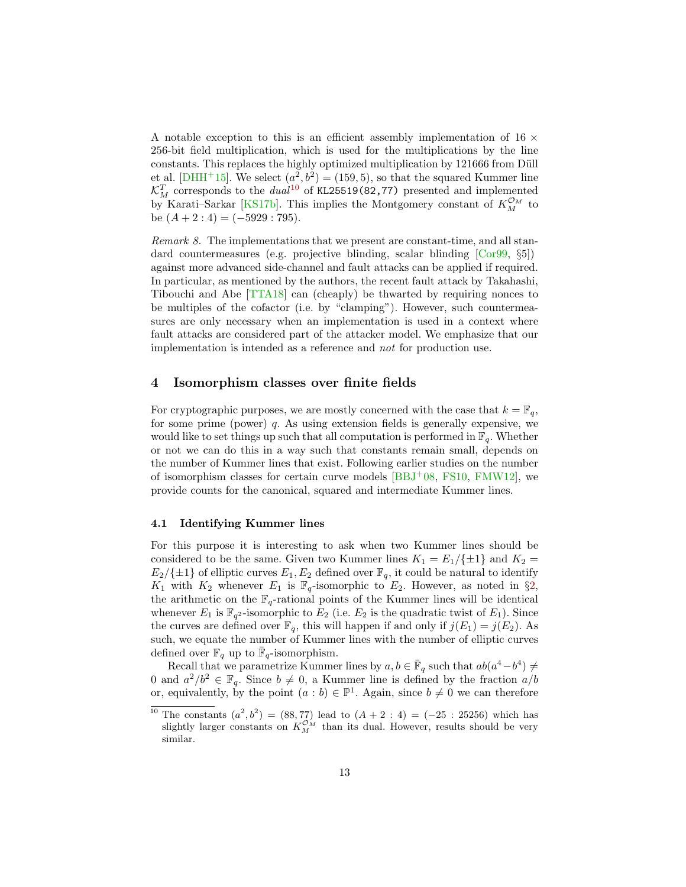<span id="page-12-2"></span>A notable exception to this is an efficient assembly implementation of 16  $\times$ 256-bit field multiplication, which is used for the multiplications by the line constants. This replaces the highly optimized multiplication by 121666 from Düll et al. [\[DHH](#page-15-11)<sup>+</sup>15]. We select  $(a^2, b^2) = (159, 5)$ , so that the squared Kummer line  $\mathcal{K}_{M}^{T}$  corresponds to the  $dual^{10}$  $dual^{10}$  $dual^{10}$  of KL25519(82,77) presented and implemented by Karati–Sarkar [\[KS17b\]](#page-16-4). This implies the Montgomery constant of  $K_M^{\mathcal{O}_M}$  to be  $(A + 2: 4) = (-5929: 795)$ .

Remark 8. The implementations that we present are constant-time, and all standard countermeasures (e.g. projective blinding, scalar blinding [\[Cor99,](#page-15-12) §5]) against more advanced side-channel and fault attacks can be applied if required. In particular, as mentioned by the authors, the recent fault attack by Takahashi, Tibouchi and Abe [\[TTA18\]](#page-17-4) can (cheaply) be thwarted by requiring nonces to be multiples of the cofactor (i.e. by "clamping"). However, such countermeasures are only necessary when an implementation is used in a context where fault attacks are considered part of the attacker model. We emphasize that our implementation is intended as a reference and not for production use.

## <span id="page-12-0"></span>4 Isomorphism classes over finite fields

For cryptographic purposes, we are mostly concerned with the case that  $k = \mathbb{F}_q$ , for some prime (power) q. As using extension fields is generally expensive, we would like to set things up such that all computation is performed in  $\mathbb{F}_q$ . Whether or not we can do this in a way such that constants remain small, depends on the number of Kummer lines that exist. Following earlier studies on the number of isomorphism classes for certain curve models  $[BBJ<sup>+</sup>08, FS10, FMW12]$  $[BBJ<sup>+</sup>08, FS10, FMW12]$  $[BBJ<sup>+</sup>08, FS10, FMW12]$  $[BBJ<sup>+</sup>08, FS10, FMW12]$  $[BBJ<sup>+</sup>08, FS10, FMW12]$ , we provide counts for the canonical, squared and intermediate Kummer lines.

## 4.1 Identifying Kummer lines

For this purpose it is interesting to ask when two Kummer lines should be considered to be the same. Given two Kummer lines  $K_1 = E_1/\{\pm 1\}$  and  $K_2 =$  $E_2/\{\pm 1\}$  of elliptic curves  $E_1, E_2$  defined over  $\mathbb{F}_q$ , it could be natural to identify  $K_1$  with  $K_2$  whenever  $E_1$  is  $\mathbb{F}_q$ -isomorphic to  $E_2$ . However, as noted in §[2,](#page-2-1) the arithmetic on the  $\mathbb{F}_q$ -rational points of the Kummer lines will be identical whenever  $E_1$  is  $\mathbb{F}_{q^2}$ -isomorphic to  $E_2$  (i.e.  $E_2$  is the quadratic twist of  $E_1$ ). Since the curves are defined over  $\mathbb{F}_q$ , this will happen if and only if  $j(E_1) = j(E_2)$ . As such, we equate the number of Kummer lines with the number of elliptic curves defined over  $\mathbb{F}_q$  up to  $\overline{\mathbb{F}}_q$ -isomorphism.

Recall that we parametrize Kummer lines by  $a, b \in \bar{\mathbb{F}}_q$  such that  $ab(a^4-b^4) \neq$ 0 and  $a^2/b^2 \in \mathbb{F}_q$ . Since  $b \neq 0$ , a Kummer line is defined by the fraction  $a/b$ or, equivalently, by the point  $(a : b) \in \mathbb{P}^1$ . Again, since  $b \neq 0$  we can therefore

<span id="page-12-1"></span><sup>&</sup>lt;sup>10</sup> The constants  $(a^2, b^2) = (88, 77)$  lead to  $(A + 2 : 4) = (-25 : 25256)$  which has slightly larger constants on  $K_M^{\mathcal{O}_M}$  than its dual. However, results should be very similar.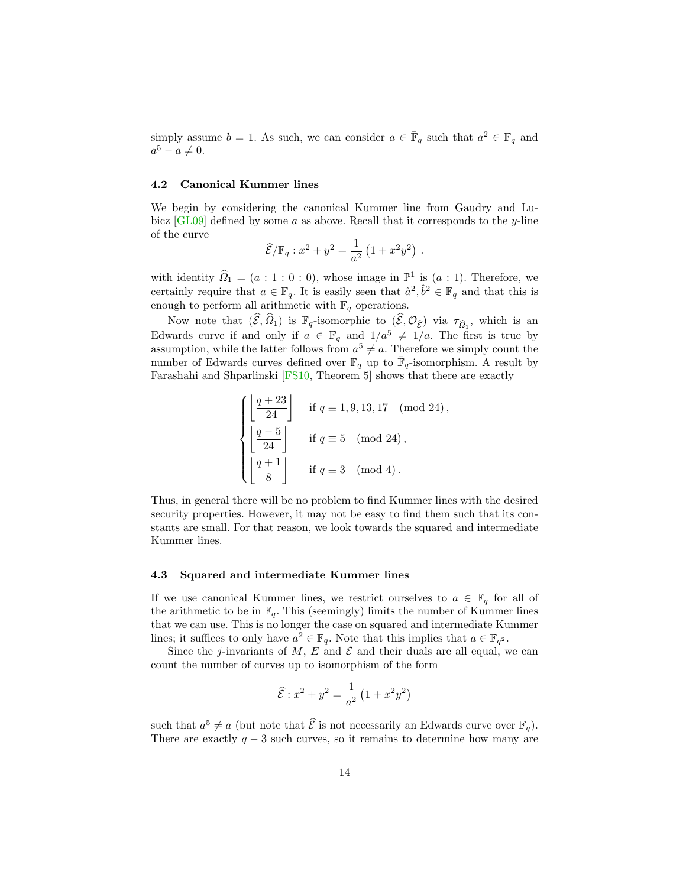<span id="page-13-0"></span>simply assume  $b = 1$ . As such, we can consider  $a \in \overline{\mathbb{F}}_q$  such that  $a^2 \in \mathbb{F}_q$  and  $a^5 - a \neq 0.$ 

### 4.2 Canonical Kummer lines

We begin by considering the canonical Kummer line from Gaudry and Lubicz  $[GL09]$  defined by some a as above. Recall that it corresponds to the y-line of the curve

$$
\widehat{\mathcal{E}}/\mathbb{F}_q : x^2 + y^2 = \frac{1}{a^2} (1 + x^2 y^2) .
$$

with identity  $\widehat{\Omega}_1 = (a : 1 : 0 : 0)$ , whose image in  $\mathbb{P}^1$  is  $(a : 1)$ . Therefore, we certainly require that  $a \in \mathbb{F}_q$ . It is easily seen that  $\hat{a}^2, \hat{b}^2 \in \mathbb{F}_q$  and that this is enough to perform all arithmetic with  $\mathbb{F}_q$  operations.

Now note that  $(\widehat{\mathcal{E}}, \widehat{\Omega}_1)$  is  $\mathbb{F}_q$ -isomorphic to  $(\widehat{\mathcal{E}}, \mathcal{O}_{\widehat{\mathcal{E}}})$  via  $\tau_{\widehat{\Omega}_1}$ , which is an Edwards curve if and only if  $a \in \mathbb{F}_q$  and  $1/a^5 \neq 1/a$ . The first is true by assumption, while the latter follows from  $a^5 \neq a$ . Therefore we simply count the number of Edwards curves defined over  $\mathbb{F}_q$  up to  $\bar{\mathbb{F}}_q$ -isomorphism. A result by Farashahi and Shparlinski [\[FS10,](#page-16-13) Theorem 5] shows that there are exactly

$$
\begin{cases}\n\left\lfloor \frac{q+23}{24} \right\rfloor & \text{if } q \equiv 1,9,13,17 \pmod{24}, \\
\left\lfloor \frac{q-5}{24} \right\rfloor & \text{if } q \equiv 5 \pmod{24}, \\
\left\lfloor \frac{q+1}{8} \right\rfloor & \text{if } q \equiv 3 \pmod{4}.\n\end{cases}
$$

Thus, in general there will be no problem to find Kummer lines with the desired security properties. However, it may not be easy to find them such that its constants are small. For that reason, we look towards the squared and intermediate Kummer lines.

#### 4.3 Squared and intermediate Kummer lines

If we use canonical Kummer lines, we restrict ourselves to  $a \in \mathbb{F}_q$  for all of the arithmetic to be in  $\mathbb{F}_q$ . This (seemingly) limits the number of Kummer lines that we can use. This is no longer the case on squared and intermediate Kummer lines; it suffices to only have  $a^2 \in \mathbb{F}_q$ . Note that this implies that  $a \in \mathbb{F}_{q^2}$ .

Since the j-invariants of M, E and  $\mathcal E$  and their duals are all equal, we can count the number of curves up to isomorphism of the form

$$
\widehat{\mathcal{E}} : x^2 + y^2 = \frac{1}{a^2} \left( 1 + x^2 y^2 \right)
$$

such that  $a^5 \neq a$  (but note that  $\hat{\mathcal{E}}$  is not necessarily an Edwards curve over  $\mathbb{F}_q$ ). There are exactly  $q - 3$  such curves, so it remains to determine how many are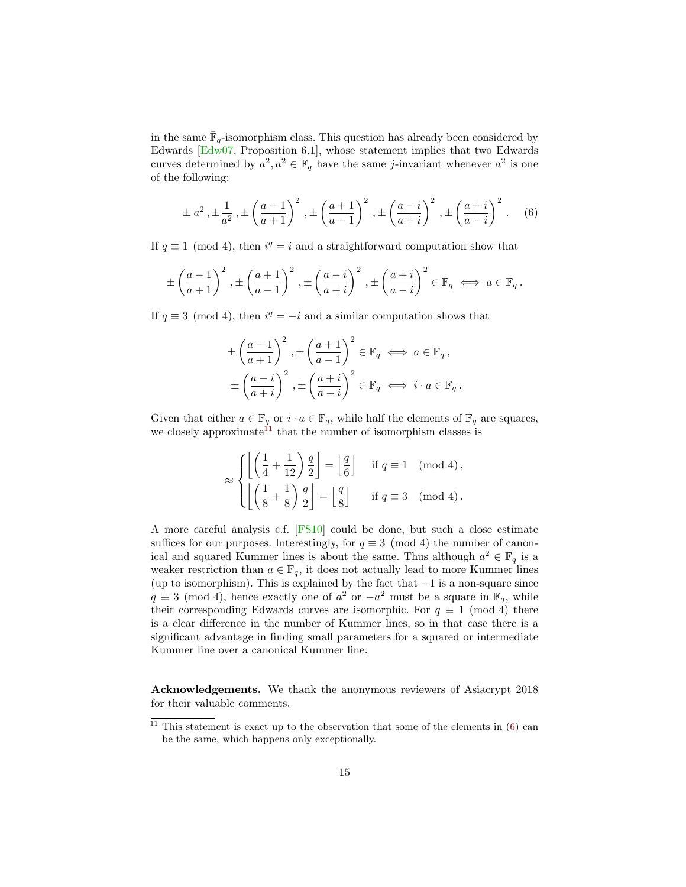<span id="page-14-2"></span>in the same  $\overline{\mathbb{F}}_q$ -isomorphism class. This question has already been considered by Edwards [\[Edw07,](#page-16-10) Proposition 6.1], whose statement implies that two Edwards curves determined by  $a^2, \overline{a}^2 \in \mathbb{F}_q$  have the same *j*-invariant whenever  $\overline{a}^2$  is one of the following:

<span id="page-14-1"></span>
$$
\pm a^2, \pm \frac{1}{a^2}, \pm \left(\frac{a-1}{a+1}\right)^2, \pm \left(\frac{a+1}{a-1}\right)^2, \pm \left(\frac{a-i}{a+i}\right)^2, \pm \left(\frac{a+i}{a-i}\right)^2. \tag{6}
$$

If  $q \equiv 1 \pmod{4}$ , then  $i^q = i$  and a straightforward computation show that

$$
\pm \left(\frac{a-1}{a+1}\right)^2, \pm \left(\frac{a+1}{a-1}\right)^2, \pm \left(\frac{a-i}{a+i}\right)^2, \pm \left(\frac{a+i}{a-i}\right)^2 \in \mathbb{F}_q \iff a \in \mathbb{F}_q.
$$

If  $q \equiv 3 \pmod{4}$ , then  $i^q = -i$  and a similar computation shows that

$$
\pm \left(\frac{a-1}{a+1}\right)^2, \pm \left(\frac{a+1}{a-1}\right)^2 \in \mathbb{F}_q \iff a \in \mathbb{F}_q,
$$
  

$$
\pm \left(\frac{a-i}{a+i}\right)^2, \pm \left(\frac{a+i}{a-i}\right)^2 \in \mathbb{F}_q \iff i \cdot a \in \mathbb{F}_q.
$$

Given that either  $a \in \mathbb{F}_q$  or  $i \cdot a \in \mathbb{F}_q$ , while half the elements of  $\mathbb{F}_q$  are squares, we closely approximate<sup>[11](#page-14-0)</sup> that the number of isomorphism classes is

$$
\approx \begin{cases} \left\lfloor \left( \frac{1}{4} + \frac{1}{12} \right) \frac{q}{2} \right\rfloor = \left\lfloor \frac{q}{6} \right\rfloor & \text{if } q \equiv 1 \pmod{4}, \\ \left\lfloor \left( \frac{1}{8} + \frac{1}{8} \right) \frac{q}{2} \right\rfloor = \left\lfloor \frac{q}{8} \right\rfloor & \text{if } q \equiv 3 \pmod{4}. \end{cases}
$$

A more careful analysis c.f. [\[FS10\]](#page-16-13) could be done, but such a close estimate suffices for our purposes. Interestingly, for  $q \equiv 3 \pmod{4}$  the number of canonical and squared Kummer lines is about the same. Thus although  $a^2 \in \mathbb{F}_q$  is a weaker restriction than  $a \in \mathbb{F}_q$ , it does not actually lead to more Kummer lines (up to isomorphism). This is explained by the fact that  $-1$  is a non-square since  $q \equiv 3 \pmod{4}$ , hence exactly one of  $a^2$  or  $-a^2$  must be a square in  $\mathbb{F}_q$ , while their corresponding Edwards curves are isomorphic. For  $q \equiv 1 \pmod{4}$  there is a clear difference in the number of Kummer lines, so in that case there is a significant advantage in finding small parameters for a squared or intermediate Kummer line over a canonical Kummer line.

Acknowledgements. We thank the anonymous reviewers of Asiacrypt 2018 for their valuable comments.

<span id="page-14-0"></span><sup>&</sup>lt;sup>11</sup> This statement is exact up to the observation that some of the elements in  $(6)$  can be the same, which happens only exceptionally.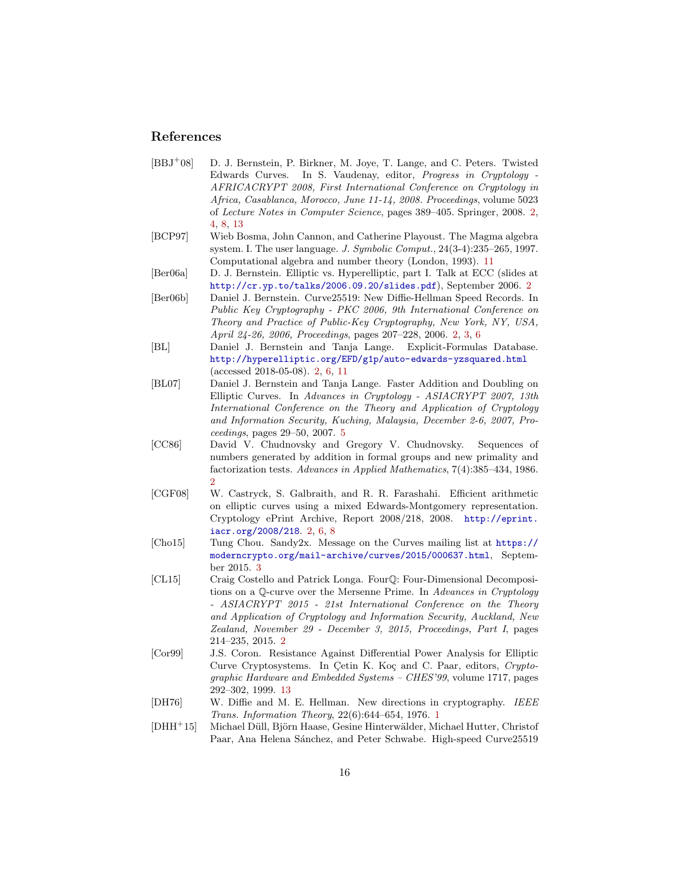## References

- <span id="page-15-2"></span>[BBJ<sup>+</sup>08] D. J. Bernstein, P. Birkner, M. Joye, T. Lange, and C. Peters. Twisted Edwards Curves. In S. Vaudenay, editor, Progress in Cryptology - AFRICACRYPT 2008, First International Conference on Cryptology in Africa, Casablanca, Morocco, June 11-14, 2008. Proceedings, volume 5023 of Lecture Notes in Computer Science, pages 389–405. Springer, 2008. [2,](#page-1-0) [4,](#page-3-1) [8,](#page-7-2) [13](#page-12-2)
- <span id="page-15-10"></span>[BCP97] Wieb Bosma, John Cannon, and Catherine Playoust. The Magma algebra system. I. The user language. J. Symbolic Comput., 24(3-4):235–265, 1997. Computational algebra and number theory (London, 1993). [11](#page-10-2)
- <span id="page-15-6"></span>[Ber06a] D. J. Bernstein. Elliptic vs. Hyperelliptic, part I. Talk at ECC (slides at <http://cr.yp.to/talks/2006.09.20/slides.pdf>), September 2006. [2](#page-1-0)
- <span id="page-15-1"></span>[Ber06b] Daniel J. Bernstein. Curve25519: New Diffie-Hellman Speed Records. In Public Key Cryptography - PKC 2006, 9th International Conference on Theory and Practice of Public-Key Cryptography, New York, NY, USA, April 24-26, 2006, Proceedings, pages 207–228, 2006. [2,](#page-1-0) [3,](#page-2-2) [6](#page-5-1)
- <span id="page-15-7"></span>[BL] Daniel J. Bernstein and Tanja Lange. Explicit-Formulas Database. <http://hyperelliptic.org/EFD/g1p/auto-edwards-yzsquared.html> (accessed 2018-05-08). [2,](#page-1-0) [6,](#page-5-1) [11](#page-10-2)
- <span id="page-15-9"></span>[BL07] Daniel J. Bernstein and Tanja Lange. Faster Addition and Doubling on Elliptic Curves. In Advances in Cryptology - ASIACRYPT 2007, 13th International Conference on the Theory and Application of Cryptology and Information Security, Kuching, Malaysia, December 2-6, 2007, Proceedings, pages 29–50, 2007. [5](#page-4-1)
- <span id="page-15-5"></span>[CC86] David V. Chudnovsky and Gregory V. Chudnovsky. Sequences of numbers generated by addition in formal groups and new primality and factorization tests. Advances in Applied Mathematics, 7(4):385–434, 1986. [2](#page-1-0)
- <span id="page-15-4"></span>[CGF08] W. Castryck, S. Galbraith, and R. R. Farashahi. Efficient arithmetic on elliptic curves using a mixed Edwards-Montgomery representation. Cryptology ePrint Archive, Report 2008/218, 2008. [http://eprint.](http://eprint.iacr.org/2008/218) [iacr.org/2008/218](http://eprint.iacr.org/2008/218). [2,](#page-1-0) [6,](#page-5-1) [8](#page-7-2)
- <span id="page-15-8"></span>[Cho15] Tung Chou. Sandy2x. Message on the Curves mailing list at [https://](https://moderncrypto.org/mail-archive/curves/2015/000637.html) [moderncrypto.org/mail-archive/curves/2015/000637.html](https://moderncrypto.org/mail-archive/curves/2015/000637.html), September 2015. [3](#page-2-2)
- <span id="page-15-3"></span>[CL15] Craig Costello and Patrick Longa. FourQ: Four-Dimensional Decompositions on a Q-curve over the Mersenne Prime. In Advances in Cryptology - ASIACRYPT 2015 - 21st International Conference on the Theory and Application of Cryptology and Information Security, Auckland, New Zealand, November 29 - December 3, 2015, Proceedings, Part I, pages 214–235, 2015. [2](#page-1-0)
- <span id="page-15-12"></span>[Cor99] J.S. Coron. Resistance Against Differential Power Analysis for Elliptic Curve Cryptosystems. In Cetin K. Koç and C. Paar, editors, Cryptographic Hardware and Embedded Systems – CHES'99, volume 1717, pages 292–302, 1999. [13](#page-12-2)
- <span id="page-15-0"></span>[DH76] W. Diffie and M. E. Hellman. New directions in cryptography. IEEE Trans. Information Theory, 22(6):644–654, 1976. [1](#page-0-0)
- <span id="page-15-11"></span>[DHH<sup>+</sup>15] Michael Düll, Björn Haase, Gesine Hinterwälder, Michael Hutter, Christof Paar, Ana Helena Sánchez, and Peter Schwabe. High-speed Curve25519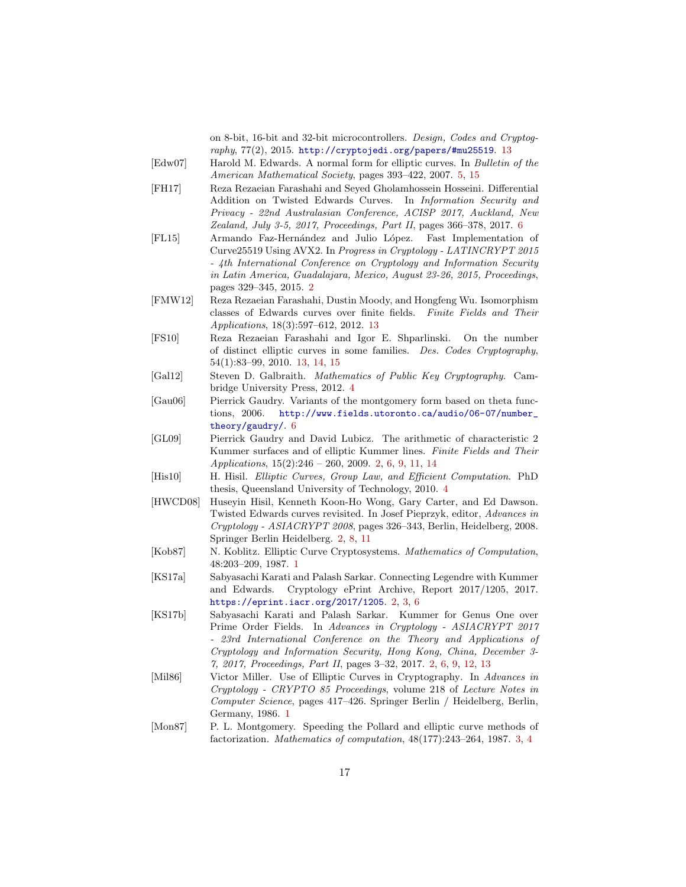on 8-bit, 16-bit and 32-bit microcontrollers. Design, Codes and Cryptog $raphy$ , 77(2), 2015. <http://cryptojedi.org/papers/#mu25519>. [13](#page-12-2)

- <span id="page-16-10"></span>[Edw07] Harold M. Edwards. A normal form for elliptic curves. In Bulletin of the American Mathematical Society, pages 393–422, 2007. [5,](#page-4-1) [15](#page-14-2)
- <span id="page-16-11"></span>[FH17] Reza Rezaeian Farashahi and Seyed Gholamhossein Hosseini. Differential Addition on Twisted Edwards Curves. In Information Security and Privacy - 22nd Australasian Conference, ACISP 2017, Auckland, New Zealand, July 3-5, 2017, Proceedings, Part II, pages 366–378, 2017. [6](#page-5-1)
- <span id="page-16-6"></span>[FL15] Armando Faz-Hernández and Julio López. Fast Implementation of Curve25519 Using AVX2. In Progress in Cryptology - LATINCRYPT 2015 - 4th International Conference on Cryptology and Information Security in Latin America, Guadalajara, Mexico, August 23-26, 2015, Proceedings, pages 329–345, 2015. [2](#page-1-0)
- <span id="page-16-14"></span>[FMW12] Reza Rezaeian Farashahi, Dustin Moody, and Hongfeng Wu. Isomorphism classes of Edwards curves over finite fields. Finite Fields and Their Applications, 18(3):597–612, 2012. [13](#page-12-2)
- <span id="page-16-13"></span>[FS10] Reza Rezaeian Farashahi and Igor E. Shparlinski. On the number of distinct elliptic curves in some families. Des. Codes Cryptography, 54(1):83–99, 2010. [13,](#page-12-2) [14,](#page-13-0) [15](#page-14-2)
- <span id="page-16-9"></span>[Gal12] Steven D. Galbraith. Mathematics of Public Key Cryptography. Cambridge University Press, 2012. [4](#page-3-1)
- <span id="page-16-12"></span>[Gau06] Pierrick Gaudry. Variants of the montgomery form based on theta functions, 2006. [http://www.fields.utoronto.ca/audio/06-07/number\\_](http://www.fields.utoronto.ca/audio/06-07/number_theory/gaudry/) [theory/gaudry/](http://www.fields.utoronto.ca/audio/06-07/number_theory/gaudry/). [6](#page-5-1)
- <span id="page-16-3"></span>[GL09] Pierrick Gaudry and David Lubicz. The arithmetic of characteristic 2 Kummer surfaces and of elliptic Kummer lines. Finite Fields and Their Applications, 15(2):246 – 260, 2009. [2,](#page-1-0) [6,](#page-5-1) [9,](#page-8-3) [11,](#page-10-2) [14](#page-13-0)
- <span id="page-16-8"></span>[His10] H. Hisil. Elliptic Curves, Group Law, and Efficient Computation. PhD thesis, Queensland University of Technology, 2010. [4](#page-3-1)
- <span id="page-16-2"></span>[HWCD08] Huseyin Hisil, Kenneth Koon-Ho Wong, Gary Carter, and Ed Dawson. Twisted Edwards curves revisited. In Josef Pieprzyk, editor, Advances in Cryptology - ASIACRYPT 2008, pages 326–343, Berlin, Heidelberg, 2008. Springer Berlin Heidelberg. [2,](#page-1-0) [8,](#page-7-2) [11](#page-10-2)
- <span id="page-16-1"></span>[Kob87] N. Koblitz. Elliptic Curve Cryptosystems. Mathematics of Computation, 48:203–209, 1987. [1](#page-0-0)
- <span id="page-16-5"></span>[KS17a] Sabyasachi Karati and Palash Sarkar. Connecting Legendre with Kummer and Edwards. Cryptology ePrint Archive, Report 2017/1205, 2017. <https://eprint.iacr.org/2017/1205>. [2,](#page-1-0) [3,](#page-2-2) [6](#page-5-1)
- <span id="page-16-4"></span>[KS17b] Sabyasachi Karati and Palash Sarkar. Kummer for Genus One over Prime Order Fields. In Advances in Cryptology - ASIACRYPT 2017 - 23rd International Conference on the Theory and Applications of Cryptology and Information Security, Hong Kong, China, December 3- 7, 2017, Proceedings, Part II, pages 3–32, 2017. [2,](#page-1-0) [6,](#page-5-1) [9,](#page-8-3) [12,](#page-11-2) [13](#page-12-2)
- <span id="page-16-0"></span>[Mil86] Victor Miller. Use of Elliptic Curves in Cryptography. In Advances in Cryptology - CRYPTO 85 Proceedings, volume 218 of Lecture Notes in Computer Science, pages 417–426. Springer Berlin / Heidelberg, Berlin, Germany, 1986. [1](#page-0-0)
- <span id="page-16-7"></span>[Mon87] P. L. Montgomery. Speeding the Pollard and elliptic curve methods of factorization. Mathematics of computation, 48(177):243–264, 1987. [3,](#page-2-2) [4](#page-3-1)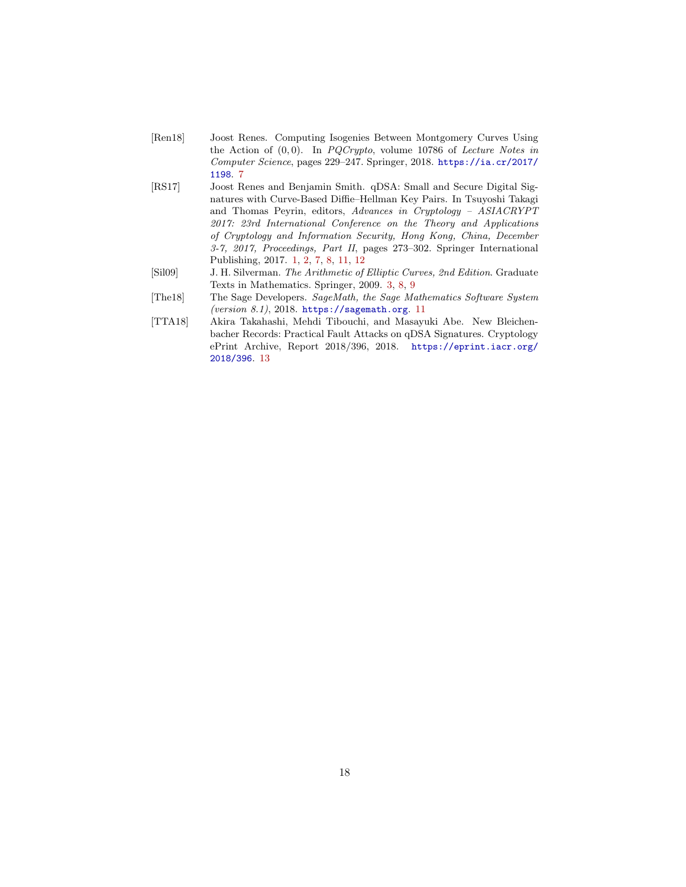- <span id="page-17-2"></span>[Ren18] Joost Renes. Computing Isogenies Between Montgomery Curves Using the Action of  $(0, 0)$ . In *PQCrypto*, volume 10786 of *Lecture Notes in* Computer Science, pages 229–247. Springer, 2018. [https://ia.cr/2017/](https://ia.cr/2017/1198) [1198](https://ia.cr/2017/1198). [7](#page-6-1)
- <span id="page-17-0"></span>[RS17] Joost Renes and Benjamin Smith. qDSA: Small and Secure Digital Signatures with Curve-Based Diffie–Hellman Key Pairs. In Tsuyoshi Takagi and Thomas Peyrin, editors, Advances in Cryptology – ASIACRYPT 2017: 23rd International Conference on the Theory and Applications of Cryptology and Information Security, Hong Kong, China, December 3-7, 2017, Proceedings, Part II, pages 273–302. Springer International Publishing, 2017. [1,](#page-0-0) [2,](#page-1-0) [7,](#page-6-1) [8,](#page-7-2) [11,](#page-10-2) [12](#page-11-2)
- <span id="page-17-1"></span>[Sil09] J. H. Silverman. The Arithmetic of Elliptic Curves, 2nd Edition. Graduate Texts in Mathematics. Springer, 2009. [3,](#page-2-2) [8,](#page-7-2) [9](#page-8-3)
- <span id="page-17-3"></span>[The18] The Sage Developers. SageMath, the Sage Mathematics Software System (version 8.1), 2018. <https://sagemath.org>. [11](#page-10-2)
- <span id="page-17-4"></span>[TTA18] Akira Takahashi, Mehdi Tibouchi, and Masayuki Abe. New Bleichenbacher Records: Practical Fault Attacks on qDSA Signatures. Cryptology ePrint Archive, Report 2018/396, 2018. [https://eprint.iacr.org/](https://eprint.iacr.org/2018/396) [2018/396](https://eprint.iacr.org/2018/396). [13](#page-12-2)